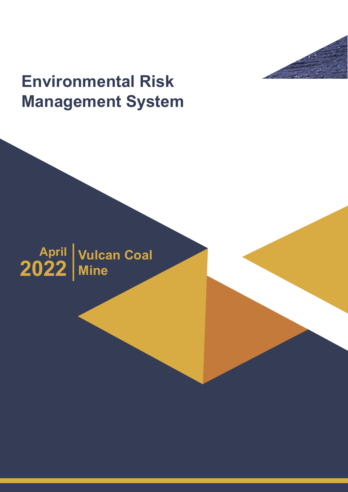# **Environmental Risk Management System**

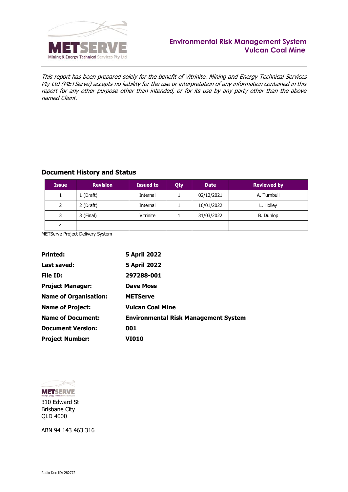

This report has been prepared solely for the benefit of Vitrinite. Mining and Energy Technical Services Pty Ltd (METServe) accepts no liability for the use or interpretation of any information contained in this report for any other purpose other than intended, or for its use by any party other than the above named Client.

# **Document History and Status**

| <b>Issue</b> | <b>Revision</b> | <b>Issued to</b> | Qty | <b>Date</b> | <b>Reviewed by</b> |
|--------------|-----------------|------------------|-----|-------------|--------------------|
|              | 1 (Draft)       | Internal         |     | 02/12/2021  | A. Turnbull        |
| 2            | 2 (Draft)       | Internal         |     | 10/01/2022  | L. Holley          |
| 3            | 3 (Final)       | Vitrinite        |     | 31/03/2022  | B. Dunlop          |
| 4            |                 |                  |     |             |                    |

METServe Project Delivery System

| <b>Printed:</b>              | <b>5 April 2022</b>                         |
|------------------------------|---------------------------------------------|
| Last saved:                  | <b>5 April 2022</b>                         |
| File ID:                     | 297288-001                                  |
| <b>Project Manager:</b>      | <b>Dave Moss</b>                            |
| <b>Name of Organisation:</b> | <b>METServe</b>                             |
| <b>Name of Project:</b>      | <b>Vulcan Coal Mine</b>                     |
| <b>Name of Document:</b>     | <b>Environmental Risk Management System</b> |
| <b>Document Version:</b>     | 001                                         |
| <b>Project Number:</b>       | <b>VI010</b>                                |



310 Edward St Brisbane City QLD 4000

ABN 94 143 463 316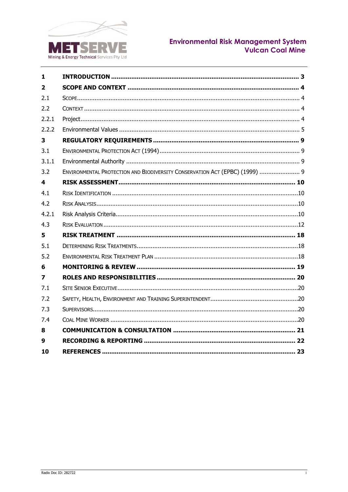

# Environmental Risk Management System<br>Vulcan Coal Mine

| 1              |                                                                             |
|----------------|-----------------------------------------------------------------------------|
| $\overline{2}$ |                                                                             |
| 2.1            |                                                                             |
| 2.2            |                                                                             |
| 2.2.1          |                                                                             |
| 2.2.2          |                                                                             |
| 3              |                                                                             |
| 3.1            |                                                                             |
| 3.1.1          |                                                                             |
| 3.2            | ENVIRONMENTAL PROTECTION AND BIODIVERSITY CONSERVATION ACT (EPBC) (1999)  9 |
| 4              |                                                                             |
| 4.1            |                                                                             |
| 4.2            |                                                                             |
| 4.2.1          |                                                                             |
| 4.3            |                                                                             |
| 5              |                                                                             |
| 5.1            |                                                                             |
| 5.2            |                                                                             |
| 6              |                                                                             |
| 7              |                                                                             |
| 7.1            |                                                                             |
| 7.2            |                                                                             |
| 7.3            |                                                                             |
| 7.4            |                                                                             |
| 8              |                                                                             |
| 9              |                                                                             |
| 10             |                                                                             |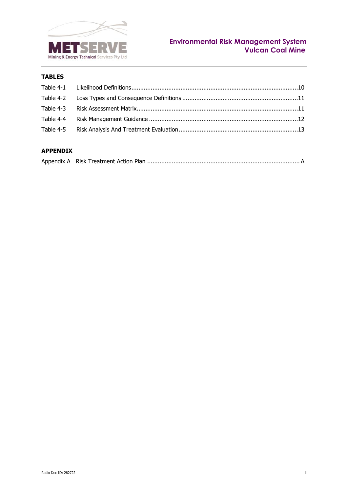

# **TABLES**

# **APPENDIX**

|--|--|--|--|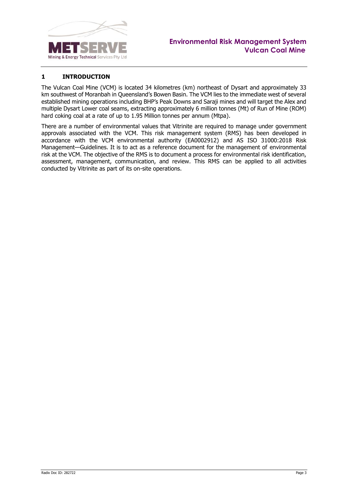

# <span id="page-4-0"></span>**1 INTRODUCTION**

The Vulcan Coal Mine (VCM) is located 34 kilometres (km) northeast of Dysart and approximately 33 km southwest of Moranbah in Queensland's Bowen Basin. The VCM lies to the immediate west of several established mining operations including BHP's Peak Downs and Saraji mines and will target the Alex and multiple Dysart Lower coal seams, extracting approximately 6 million tonnes (Mt) of Run of Mine (ROM) hard coking coal at a rate of up to 1.95 Million tonnes per annum (Mtpa).

There are a number of environmental values that Vitrinite are required to manage under government approvals associated with the VCM. This risk management system (RMS) has been developed in accordance with the VCM environmental authority (EA0002912) and AS ISO 31000:2018 Risk Management—Guidelines. It is to act as a reference document for the management of environmental risk at the VCM. The objective of the RMS is to document a process for environmental risk identification, assessment, management, communication, and review. This RMS can be applied to all activities conducted by Vitrinite as part of its on-site operations.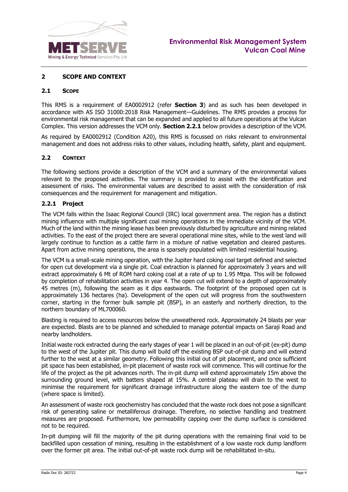

#### <span id="page-5-0"></span>**2 SCOPE AND CONTEXT**

#### <span id="page-5-1"></span>**2.1 SCOPE**

This RMS is a requirement of EA0002912 (refer **Section [3](#page-10-0)**) and as such has been developed in accordance with AS ISO 31000:2018 Risk Management—Guidelines. The RMS provides a process for environmental risk management that can be expanded and applied to all future operations at the Vulcan Complex. This version addresses the VCM only. **Section [2.2.1](#page-5-3)** below provides a description of the VCM.

As required by EA0002912 (Condition A20), this RMS is focussed on risks relevant to environmental management and does not address risks to other values, including health, safety, plant and equipment.

#### <span id="page-5-2"></span>**2.2 CONTEXT**

The following sections provide a description of the VCM and a summary of the environmental values relevant to the proposed activities. The summary is provided to assist with the identification and assessment of risks. The environmental values are described to assist with the consideration of risk consequences and the requirement for management and mitigation.

#### <span id="page-5-3"></span>**2.2.1 Project**

The VCM falls within the Isaac Regional Council (IRC) local government area. The region has a distinct mining influence with multiple significant coal mining operations in the immediate vicinity of the VCM. Much of the land within the mining lease has been previously disturbed by agriculture and mining related activities. To the east of the project there are several operational mine sites, while to the west land will largely continue to function as a cattle farm in a mixture of native vegetation and cleared pastures. Apart from active mining operations, the area is sparsely populated with limited residential housing.

The VCM is a small-scale mining operation, with the Jupiter hard coking coal target defined and selected for open cut development via a single pit. Coal extraction is planned for approximately 3 years and will extract approximately 6 Mt of ROM hard coking coal at a rate of up to 1.95 Mtpa. This will be followed by completion of rehabilitation activities in year 4. The open cut will extend to a depth of approximately 45 metres (m), following the seam as it dips eastwards. The footprint of the proposed open cut is approximately 136 hectares (ha). Development of the open cut will progress from the southwestern corner, starting in the former bulk sample pit (BSP), in an easterly and northerly direction, to the northern boundary of ML700060.

Blasting is required to access resources below the unweathered rock. Approximately 24 blasts per year are expected. Blasts are to be planned and scheduled to manage potential impacts on Saraji Road and nearby landholders.

Initial waste rock extracted during the early stages of year 1 will be placed in an out-of-pit (ex-pit) dump to the west of the Jupiter pit. This dump will build off the existing BSP out-of-pit dump and will extend further to the west at a similar geometry. Following this initial out of pit placement, and once sufficient pit space has been established, in-pit placement of waste rock will commence. This will continue for the life of the project as the pit advances north. The in-pit dump will extend approximately 15m above the surrounding ground level, with batters shaped at 15%. A central plateau will drain to the west to minimise the requirement for significant drainage infrastructure along the eastern toe of the dump (where space is limited).

An assessment of waste rock geochemistry has concluded that the waste rock does not pose a significant risk of generating saline or metalliferous drainage. Therefore, no selective handling and treatment measures are proposed. Furthermore, low permeability capping over the dump surface is considered not to be required.

In-pit dumping will fill the majority of the pit during operations with the remaining final void to be backfilled upon cessation of mining, resulting in the establishment of a low waste rock dump landform over the former pit area. The initial out-of-pit waste rock dump will be rehabilitated in-situ.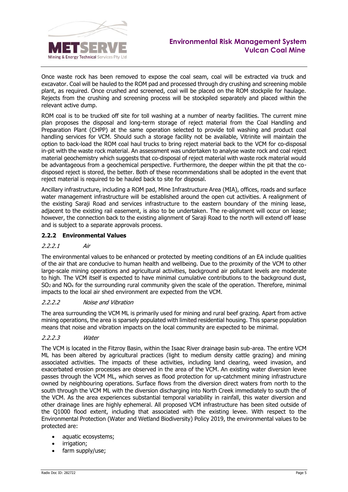

Once waste rock has been removed to expose the coal seam, coal will be extracted via truck and excavator. Coal will be hauled to the ROM pad and processed through dry crushing and screening mobile plant, as required. Once crushed and screened, coal will be placed on the ROM stockpile for haulage. Rejects from the crushing and screening process will be stockpiled separately and placed within the relevant active dump.

ROM coal is to be trucked off site for toll washing at a number of nearby facilities. The current mine plan proposes the disposal and long-term storage of reject material from the Coal Handling and Preparation Plant (CHPP) at the same operation selected to provide toll washing and product coal handling services for VCM. Should such a storage facility not be available, Vitrinite will maintain the option to back-load the ROM coal haul trucks to bring reject material back to the VCM for co-disposal in-pit with the waste rock material. An assessment was undertaken to analyse waste rock and coal reject material geochemistry which suggests that co-disposal of reject material with waste rock material would be advantageous from a geochemical perspective. Furthermore, the deeper within the pit that the codisposed reject is stored, the better. Both of these recommendations shall be adopted in the event that reject material is required to be hauled back to site for disposal.

Ancillary infrastructure, including a ROM pad, Mine Infrastructure Area (MIA), offices, roads and surface water management infrastructure will be established around the open cut activities. A realignment of the existing Saraji Road and services infrastructure to the eastern boundary of the mining lease, adjacent to the existing rail easement, is also to be undertaken. The re-alignment will occur on lease; however, the connection back to the existing alignment of Saraji Road to the north will extend off lease and is subject to a separate approvals process.

## <span id="page-6-0"></span>**2.2.2 Environmental Values**

#### 2.2.2.1 Air

The environmental values to be enhanced or protected by meeting conditions of an EA include qualities of the air that are conducive to human health and wellbeing. Due to the proximity of the VCM to other large-scale mining operations and agricultural activities, background air pollutant levels are moderate to high. The VCM itself is expected to have minimal cumulative contributions to the background dust,  $SO<sub>2</sub>$  and NO<sub>x</sub> for the surrounding rural community given the scale of the operation. Therefore, minimal impacts to the local air shed environment are expected from the VCM.

#### 2.2.2.2 Noise and Vibration

The area surrounding the VCM ML is primarily used for mining and rural beef grazing. Apart from active mining operations, the area is sparsely populated with limited residential housing. This sparse population means that noise and vibration impacts on the local community are expected to be minimal.

## 2.2.2.3 Water

The VCM is located in the Fitzroy Basin, within the Isaac River drainage basin sub-area. The entire VCM ML has been altered by agricultural practices (light to medium density cattle grazing) and mining associated activities. The impacts of these activities, including land clearing, weed invasion, and exacerbated erosion processes are observed in the area of the VCM. An existing water diversion levee passes through the VCM ML, which serves as flood protection for up-catchment mining infrastructure owned by neighbouring operations. Surface flows from the diversion direct waters from north to the south through the VCM ML with the diversion discharging into North Creek immediately to south the of the VCM. As the area experiences substantial temporal variability in rainfall, this water diversion and other drainage lines are highly ephemeral. All proposed VCM infrastructure has been sited outside of the Q1000 flood extent, including that associated with the existing levee. With respect to the Environmental Protection (Water and Wetland Biodiversity) Policy 2019, the environmental values to be protected are:

- aquatic ecosystems;
- irrigation;
- farm supply/use;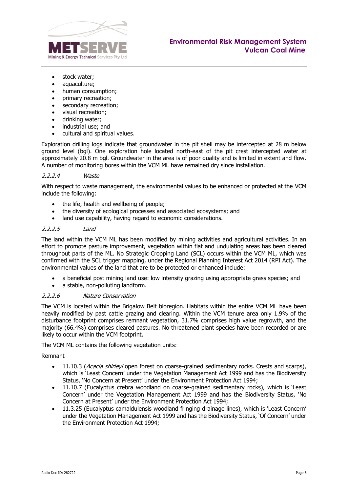

- stock water;
- aquaculture;
- human consumption;
- primary recreation;
- secondary recreation;
- visual recreation;
- drinking water;
- industrial use; and
- cultural and spiritual values.

Exploration drilling logs indicate that groundwater in the pit shell may be intercepted at 28 m below ground level (bgl). One exploration hole located north-east of the pit crest intercepted water at approximately 20.8 m bgl. Groundwater in the area is of poor quality and is limited in extent and flow. A number of monitoring bores within the VCM ML have remained dry since installation.

#### 2.2.2.4 Waste

With respect to waste management, the environmental values to be enhanced or protected at the VCM include the following:

- the life, health and wellbeing of people;
- the diversity of ecological processes and associated ecosystems; and
- land use capability, having regard to economic considerations.

#### 2.2.2.5 Land

The land within the VCM ML has been modified by mining activities and agricultural activities. In an effort to promote pasture improvement, vegetation within flat and undulating areas has been cleared throughout parts of the ML. No Strategic Cropping Land (SCL) occurs within the VCM ML, which was confirmed with the SCL trigger mapping, under the Regional Planning Interest Act 2014 (RPI Act). The environmental values of the land that are to be protected or enhanced include:

- a beneficial post mining land use: low intensity grazing using appropriate grass species; and
- a stable, non-polluting landform.

#### 2.2.2.6 Nature Conservation

The VCM is located within the Brigalow Belt bioregion. Habitats within the entire VCM ML have been heavily modified by past cattle grazing and clearing. Within the VCM tenure area only 1.9% of the disturbance footprint comprises remnant vegetation, 31.7% comprises high value regrowth, and the majority (66.4%) comprises cleared pastures. No threatened plant species have been recorded or are likely to occur within the VCM footprint.

The VCM ML contains the following vegetation units:

#### Remnant

- 11.10.3 (Acacia shirleyi open forest on coarse-grained sedimentary rocks. Crests and scarps), which is 'Least Concern' under the Vegetation Management Act 1999 and has the Biodiversity Status, 'No Concern at Present' under the Environment Protection Act 1994;
- 11.10.7 (Eucalyptus crebra woodland on coarse-grained sedimentary rocks), which is 'Least Concern' under the Vegetation Management Act 1999 and has the Biodiversity Status, 'No Concern at Present' under the Environment Protection Act 1994;
- 11.3.25 (Eucalyptus camaldulensis woodland fringing drainage lines), which is 'Least Concern' under the Vegetation Management Act 1999 and has the Biodiversity Status, 'Of Concern' under the Environment Protection Act 1994;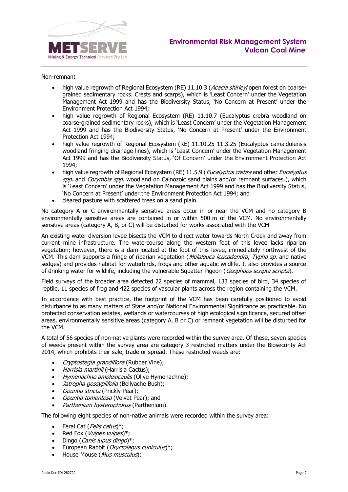

#### Non-remnant

- high value regrowth of Regional Ecosystem (RE) 11.10.3 (Acacia shirleyi open forest on coarsegrained sedimentary rocks. Crests and scarps), which is 'Least Concern' under the Vegetation Management Act 1999 and has the Biodiversity Status, 'No Concern at Present' under the Environment Protection Act 1994;
- high value regrowth of Regional Ecosystem (RE) 11.10.7 (Eucalyptus crebra woodland on coarse-grained sedimentary rocks), which is 'Least Concern' under the Vegetation Management Act 1999 and has the Biodiversity Status, 'No Concern at Present' under the Environment Protection Act 1994;
- high value regrowth of Regional Ecosystem (RE) 11.10.25 11.3.25 (Eucalyptus camaldulensis woodland fringing drainage lines), which is 'Least Concern' under the Vegetation Management Act 1999 and has the Biodiversity Status, 'Of Concern' under the Environment Protection Act 1994;
- high value regrowth of Regional Ecosystem (RE) 11.5.9 (*Eucalyptus crebra* and other *Eucalyptus* spp. and Corymbia spp. woodland on Cainozoic sand plains and/or remnant surfaces.), which is 'Least Concern' under the Vegetation Management Act 1999 and has the Biodiversity Status, 'No Concern at Present' under the Environment Protection Act 1994; and
- cleared pasture with scattered trees on a sand plain.

No category A or C environmentally sensitive areas occur in or near the VCM and no category B environmentally sensitive areas are contained in or within 500 m of the VCM. No environmentally sensitive areas (category A, B, or C) will be disturbed for works associated with the VCM

An existing water diversion levee bisects the VCM to direct water towards North Creek and away from current mine infrastructure. The watercourse along the western foot of this levee lacks riparian vegetation; however, there is a dam located at the foot of this levee, immediately northwest of the VCM. This dam supports a fringe of riparian vegetation (Melaleuca leucadendra, Typha sp. and native sedges) and provides habitat for waterbirds, frogs and other aquatic wildlife. It also provides a source of drinking water for wildlife, including the vulnerable Squatter Pigeon (Geophaps scripta scripta).

Field surveys of the broader area detected 22 species of mammal, 133 species of bird, 34 species of reptile, 11 species of frog and 422 species of vascular plants across the region containing the VCM.

In accordance with best practice, the footprint of the VCM has been carefully positioned to avoid disturbance to as many matters of State and/or National Environmental Significance as practicable. No protected conservation estates, wetlands or watercourses of high ecological significance, secured offset areas, environmentally sensitive areas (category A, B or C) or remnant vegetation will be disturbed for the VCM.

A total of 56 species of non-native plants were recorded within the survey area. Of these, seven species of weeds present within the survey area are category 3 restricted matters under the Biosecurity Act 2014, which prohibits their sale, trade or spread. These restricted weeds are:

- Cryptostegia grandiflora (Rubber Vine);
- Harrisia martinii (Harrisia Cactus);
- Hymenachne amplexicaulis (Olive Hymenachne);
- *Jatropha gossypiifolia* (Bellyache Bush);
- Opuntia stricta (Prickly Pear);
- Opuntia tomentosa (Velvet Pear); and
- Parthenium hysterophorus (Parthenium).

The following eight species of non-native animals were recorded within the survey area:

- Feral Cat (Felis catus)\*;
- Red Fox (Vulpes vulpes)\*;
- Dingo (Canis lupus dingo)\*;
- European Rabbit (Oryctolagus cuniculus)\*;
- House Mouse (Mus musculus);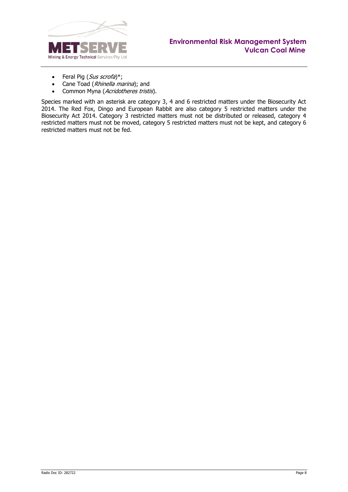

- Feral Pig  $(Sus\,scri$
- Cane Toad (Rhinella marina); and
- Common Myna (Acridotheres tristis).

Species marked with an asterisk are category 3, 4 and 6 restricted matters under the Biosecurity Act 2014. The Red Fox, Dingo and European Rabbit are also category 5 restricted matters under the Biosecurity Act 2014. Category 3 restricted matters must not be distributed or released, category 4 restricted matters must not be moved, category 5 restricted matters must not be kept, and category 6 restricted matters must not be fed.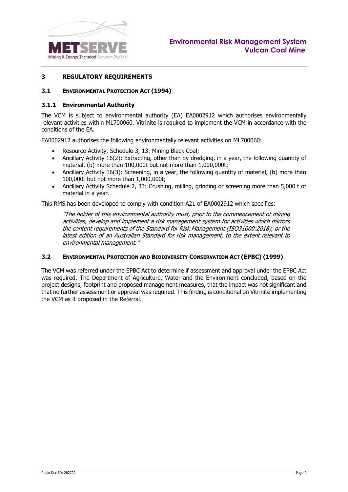

#### <span id="page-10-0"></span>**3 REGULATORY REQUIREMENTS**

#### <span id="page-10-1"></span>**3.1 ENVIRONMENTAL PROTECTION ACT (1994)**

#### <span id="page-10-2"></span>**3.1.1 Environmental Authority**

The VCM is subject to environmental authority (EA) EA0002912 which authorises environmentally relevant activities within ML700060. Vitrinite is required to implement the VCM in accordance with the conditions of the EA.

EA0002912 authorises the following environmentally relevant activities on ML700060:

- Resource Activity, Schedule 3, 13: Mining Black Coal;
- Ancillary Activity 16(2): Extracting, other than by dredging, in a year, the following quantity of material, (b) more than 100,000t but not more than 1,000,000t;
- Ancillary Activity 16(3): Screening, in a year, the following quantity of material, (b) more than 100,000t but not more than 1,000,000t;
- Ancillary Activity Schedule 2, 33: Crushing, milling, grinding or screening more than 5,000 t of material in a year.

This RMS has been developed to comply with condition A21 of EA0002912 which specifies:

"The holder of this environmental authority must, prior to the commencement of mining activities, develop and implement a risk management system for activities which mirrors the content requirements of the Standard for Risk Management (ISO31000:2018), or the latest edition of an Australian Standard for risk management, to the extent relevant to environmental management."

#### <span id="page-10-3"></span>**3.2 ENVIRONMENTAL PROTECTION AND BIODIVERSITY CONSERVATION ACT (EPBC) (1999)**

The VCM was referred under the EPBC Act to determine if assessment and approval under the EPBC Act was required. The Department of Agriculture, Water and the Environment concluded, based on the project designs, footprint and proposed management measures, that the impact was not significant and that no further assessment or approval was required. This finding is conditional on Vitrinite implementing the VCM as it proposed in the Referral.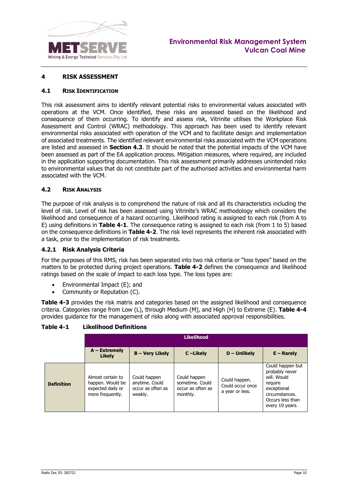

#### <span id="page-11-0"></span>**4 RISK ASSESSMENT**

#### <span id="page-11-1"></span>**4.1 RISK IDENTIFICATION**

This risk assessment aims to identify relevant potential risks to environmental values associated with operations at the VCM. Once identified, these risks are assessed based on the likelihood and consequence of them occurring. To identify and assess risk, Vitrinite utilises the Workplace Risk Assessment and Control (WRAC) methodology. This approach has been used to identify relevant environmental risks associated with operation of the VCM and to facilitate design and implementation of associated treatments. The identified relevant environmental risks associated with the VCM operations are listed and assessed in **Section [4.3](#page-13-0)**. It should be noted that the potential impacts of the VCM have been assessed as part of the EA application process. Mitigation measures, where required, are included in the application supporting documentation. This risk assessment primarily addresses unintended risks to environmental values that do not constitute part of the authorised activities and environmental harm associated with the VCM.

#### <span id="page-11-2"></span>**4.2 RISK ANALYSIS**

The purpose of risk analysis is to comprehend the nature of risk and all its characteristics including the level of risk. Level of risk has been assessed using Vitrinite's WRAC methodology which considers the likelihood and consequence of a hazard occurring. Likelihood rating is assigned to each risk (from A to E) using definitions in **[Table 4-1](#page-11-4)**. The consequence rating is assigned to each risk (from 1 to 5) based on the consequence definitions in **[Table 4-2](#page-12-0)**. The risk level represents the inherent risk associated with a task, prior to the implementation of risk treatments.

#### <span id="page-11-3"></span>**4.2.1 Risk Analysis Criteria**

For the purposes of this RMS, risk has been separated into two risk criteria or "loss types" based on the matters to be protected during project operations. **[Table 4-2](#page-12-0)** defines the consequence and likelihood ratings based on the scale of impact to each loss type. The loss types are:

- Environmental Impact (E); and
- Community or Reputation (C).

**[Table 4-3](#page-12-1)** provides the risk matrix and categories based on the assigned likelihood and consequence criteria. Categories range from Low (L), through Medium (M), and High (H) to Extreme (E). **[Table 4-4](#page-13-1)** provides guidance for the management of risks along with associated approval responsibilities.

|                   |                                                                                |                                                                | <b>Likelihood</b>                                                |                                                      |                                                                                                                                      |
|-------------------|--------------------------------------------------------------------------------|----------------------------------------------------------------|------------------------------------------------------------------|------------------------------------------------------|--------------------------------------------------------------------------------------------------------------------------------------|
|                   | $A - Extremely$<br><b>Likely</b>                                               | <b>B-Very Likely</b>                                           | C-Likely                                                         | $D -$ Unlikely                                       | $E -$ Rarely                                                                                                                         |
| <b>Definition</b> | Almost certain to<br>happen. Would be<br>expected daily or<br>more frequently. | Could happen<br>anytime. Could<br>occur as often as<br>weekly. | Could happen<br>sometime. Could<br>occur as often as<br>monthly. | Could happen.<br>Could occur once<br>a year or less. | Could happen but<br>probably never<br>will. Would<br>require<br>exceptional<br>circumstances.<br>Occurs less than<br>every 10 years. |

#### <span id="page-11-4"></span>**Table 4-1 Likelihood Definitions**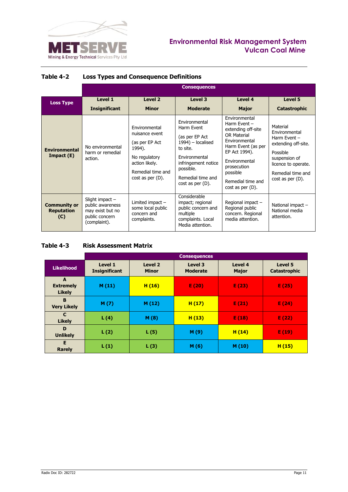

# **Environmental Risk Management System Vulcan Coal Mine**

|                                                 |                                                                                             |                                                                                                                                              | <b>Consequences</b>                                                                                                                                                                      |                                                                                                                                                                                                                        |                                                                                                                                                                    |
|-------------------------------------------------|---------------------------------------------------------------------------------------------|----------------------------------------------------------------------------------------------------------------------------------------------|------------------------------------------------------------------------------------------------------------------------------------------------------------------------------------------|------------------------------------------------------------------------------------------------------------------------------------------------------------------------------------------------------------------------|--------------------------------------------------------------------------------------------------------------------------------------------------------------------|
| <b>Loss Type</b>                                | Level 1<br><b>Insignificant</b>                                                             | Level 2<br><b>Minor</b>                                                                                                                      | Level 3<br><b>Moderate</b>                                                                                                                                                               | Level 4<br><b>Major</b>                                                                                                                                                                                                | Level 5<br>Catastrophic                                                                                                                                            |
| <b>Environmental</b><br>Import(E)               | No environmental<br>harm or remedial<br>action.                                             | Fnvironmental<br>nuisance event<br>(as per EP Act<br>1994).<br>No regulatory<br>action likely.<br>Remedial time and<br>$cost$ as per $(D)$ . | Fnvironmental<br>Harm Fvent<br>(as per EP Act<br>1994) - localised<br>to site.<br><b>Fnvironmental</b><br>infringement notice<br>possible.<br>Remedial time and<br>$cost$ as per $(D)$ . | Environmental<br>Harm Event $-$<br>extending off-site<br>OR Material<br>Environmental<br>Harm Event (as per<br>EP Act 1994).<br>Fnvironmental<br>prosecution<br>possible<br>Remedial time and<br>$cost$ as per $(D)$ . | Material<br>Environmental<br>Harm Event -<br>extending off-site.<br>Possible<br>suspension of<br>licence to operate.<br>Remedial time and<br>$cost$ as per $(D)$ . |
| <b>Community or</b><br><b>Reputation</b><br>(C) | Slight impact $-$<br>public awareness<br>may exist but no<br>public concern<br>(complaint). | Limited impact -<br>some local public<br>concern and<br>complaints.                                                                          | Considerable<br>impact; regional<br>public concern and<br>multiple<br>complaints. Local<br>Media attention.                                                                              | Regional impact -<br>Regional public<br>concern. Regional<br>media attention.                                                                                                                                          | National impact -<br>National media<br>attention.                                                                                                                  |

# <span id="page-12-0"></span>**Table 4-2 Loss Types and Consequence Definitions**

# <span id="page-12-1"></span>**Table 4-3 Risk Assessment Matrix**

|                                        |                                 |                                    | <b>Consequences</b>        |                         |                         |
|----------------------------------------|---------------------------------|------------------------------------|----------------------------|-------------------------|-------------------------|
| <b>Likelihood</b>                      | Level 1<br><b>Insignificant</b> | Level <sub>2</sub><br><b>Minor</b> | Level 3<br><b>Moderate</b> | Level 4<br><b>Major</b> | Level 5<br>Catastrophic |
| A<br><b>Extremely</b><br><b>Likely</b> | M(11)                           | H(16)                              | E(20)                      | E(23)                   | E(25)                   |
| B<br><b>Very Likely</b>                | M(7)                            | M(12)                              | H(17)                      | E(21)                   | E(24)                   |
| $\mathbf{C}$<br><b>Likely</b>          | L(4)                            | M(8)                               | H(13)                      | E(18)                   | E(22)                   |
| D<br><b>Unlikely</b>                   | L(2)                            | L(5)                               | M(9)                       | H(14)                   | E(19)                   |
| E<br><b>Rarely</b>                     | L(1)                            | L(3)                               | M(6)                       | M (10)                  | H(15)                   |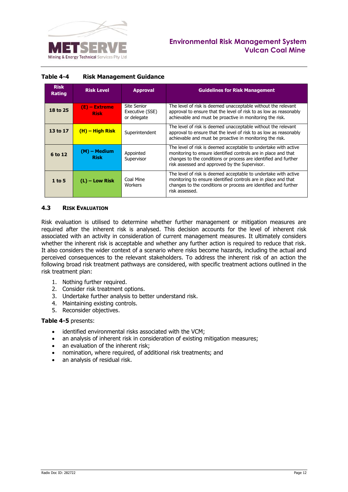

# **Environmental Risk Management System Vulcan Coal Mine**

| <b>Risk</b><br><b>Rating</b> | <b>Risk Level</b>              | <b>Approval</b>                               | <b>Guidelines for Risk Management</b>                                                                                                                                                                                                                 |
|------------------------------|--------------------------------|-----------------------------------------------|-------------------------------------------------------------------------------------------------------------------------------------------------------------------------------------------------------------------------------------------------------|
| 18 to 25                     | $(E)$ – Extreme<br><b>Risk</b> | Site Senior<br>Executive (SSE)<br>or delegate | The level of risk is deemed unacceptable without the relevant<br>approval to ensure that the level of risk to as low as reasonably<br>achievable and must be proactive in monitoring the risk.                                                        |
| 13 to 17                     | $(H)$ – High Risk              | Superintendent                                | The level of risk is deemed unacceptable without the relevant<br>approval to ensure that the level of risk to as low as reasonably<br>achievable and must be proactive in monitoring the risk.                                                        |
| 6 to 12                      | (M) - Medium<br><b>Risk</b>    | Appointed<br>Supervisor                       | The level of risk is deemed acceptable to undertake with active<br>monitoring to ensure identified controls are in place and that<br>changes to the conditions or process are identified and further<br>risk assessed and approved by the Supervisor. |
| $1$ to 5                     | $(L)$ – Low Risk               | Coal Mine<br>Workers                          | The level of risk is deemed acceptable to undertake with active<br>monitoring to ensure identified controls are in place and that<br>changes to the conditions or process are identified and further<br>risk assessed.                                |

#### <span id="page-13-1"></span>**Table 4-4 Risk Management Guidance**

#### <span id="page-13-0"></span>**4.3 RISK EVALUATION**

Risk evaluation is utilised to determine whether further management or mitigation measures are required after the inherent risk is analysed. This decision accounts for the level of inherent risk associated with an activity in consideration of current management measures. It ultimately considers whether the inherent risk is acceptable and whether any further action is required to reduce that risk. It also considers the wider context of a scenario where risks become hazards, including the actual and perceived consequences to the relevant stakeholders. To address the inherent risk of an action the following broad risk treatment pathways are considered, with specific treatment actions outlined in the risk treatment plan:

- 1. Nothing further required.
- 2. Consider risk treatment options.
- 3. Undertake further analysis to better understand risk.
- 4. Maintaining existing controls.
- 5. Reconsider objectives.

#### **[Table 4-5](#page-14-0)** presents:

- identified environmental risks associated with the VCM:
- an analysis of inherent risk in consideration of existing mitigation measures;
- an evaluation of the inherent risk;
- nomination, where required, of additional risk treatments; and
- an analysis of residual risk.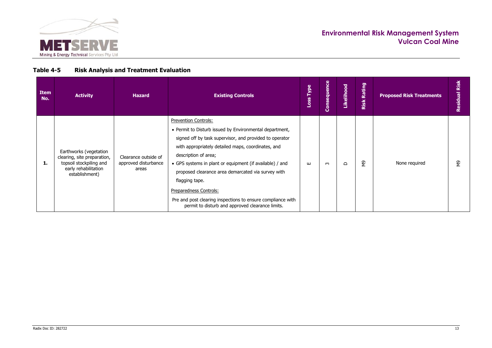

# **Table 4-5 Risk Analysis and Treatment Evaluation**

<span id="page-14-0"></span>

| <b>Item</b><br>No. | <b>Activity</b>                                                                                                            | <b>Hazard</b>                                         | <b>Existing Controls</b>                                                                                                                                                                                                                                                                                                                                                                                                                                                                                  | Type<br>oss | Consequence | Likelihood | Rating<br>Risk | <b>Proposed Risk Treatments</b> | Risk<br>Residual |
|--------------------|----------------------------------------------------------------------------------------------------------------------------|-------------------------------------------------------|-----------------------------------------------------------------------------------------------------------------------------------------------------------------------------------------------------------------------------------------------------------------------------------------------------------------------------------------------------------------------------------------------------------------------------------------------------------------------------------------------------------|-------------|-------------|------------|----------------|---------------------------------|------------------|
| 1.                 | Earthworks (vegetation<br>clearing, site preparation,<br>topsoil stockpiling and<br>early rehabilitation<br>establishment) | Clearance outside of<br>approved disturbance<br>areas | Prevention Controls:<br>• Permit to Disturb issued by Environmental department,<br>signed off by task supervisor, and provided to operator<br>with appropriately detailed maps, coordinates, and<br>description of area;<br>• GPS systems in plant or equipment (if available) / and<br>proposed clearance area demarcated via survey with<br>flagging tape.<br>Preparedness Controls:<br>Pre and post clearing inspections to ensure compliance with<br>permit to disturb and approved clearance limits. | ш           | ო           | $\Omega$   | ξ9             | None required                   | e<br>S           |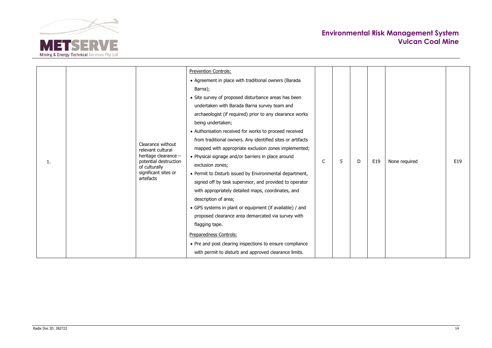

|  |  |                                                                                                          | <b>Prevention Controls:</b>                                |        |  |   |     |               |     |
|--|--|----------------------------------------------------------------------------------------------------------|------------------------------------------------------------|--------|--|---|-----|---------------|-----|
|  |  |                                                                                                          | • Agreement in place with traditional owners (Barada       |        |  |   |     |               |     |
|  |  |                                                                                                          | Barna);                                                    |        |  |   |     |               |     |
|  |  |                                                                                                          | • Site survey of proposed disturbance areas has been       |        |  |   |     |               |     |
|  |  |                                                                                                          | undertaken with Barada Barna survey team and               |        |  |   |     |               |     |
|  |  |                                                                                                          | archaeologist (if required) prior to any clearance works   |        |  |   | E19 |               |     |
|  |  |                                                                                                          | being undertaken;                                          |        |  | D |     |               | E19 |
|  |  |                                                                                                          | • Authorisation received for works to proceed received     |        |  |   |     | None required |     |
|  |  | Clearance without<br>relevant cultural<br>heritage clearance -<br>potential destruction<br>of culturally | from traditional owners. Any identified sites or artifacts |        |  |   |     |               |     |
|  |  |                                                                                                          | mapped with appropriate exclusion zones implemented;       |        |  |   |     |               |     |
|  |  |                                                                                                          | • Physical signage and/or barriers in place around         |        |  |   |     |               |     |
|  |  |                                                                                                          | exclusion zones;                                           | C<br>5 |  |   |     |               |     |
|  |  | significant sites or                                                                                     | • Permit to Disturb issued by Environmental department,    |        |  |   |     |               |     |
|  |  | artefacts                                                                                                | signed off by task supervisor, and provided to operator    |        |  |   |     |               |     |
|  |  |                                                                                                          | with appropriately detailed maps, coordinates, and         |        |  |   |     |               |     |
|  |  |                                                                                                          | description of area;                                       |        |  |   |     |               |     |
|  |  |                                                                                                          | • GPS systems in plant or equipment (if available) / and   |        |  |   |     |               |     |
|  |  |                                                                                                          | proposed clearance area demarcated via survey with         |        |  |   |     |               |     |
|  |  |                                                                                                          | flagging tape.                                             |        |  |   |     |               |     |
|  |  |                                                                                                          | Preparedness Controls:                                     |        |  |   |     |               |     |
|  |  |                                                                                                          | • Pre and post clearing inspections to ensure compliance   |        |  |   |     |               |     |
|  |  |                                                                                                          | with permit to disturb and approved clearance limits.      |        |  |   |     |               |     |
|  |  |                                                                                                          |                                                            |        |  |   |     |               |     |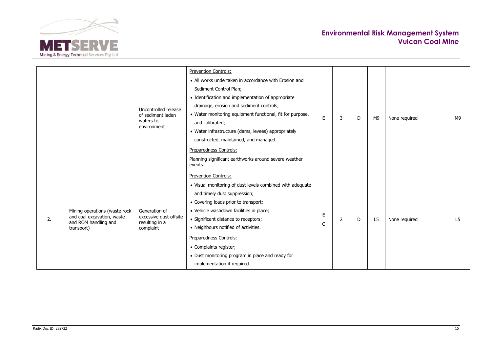

|    |                                                                                                   | Uncontrolled release                                                                                                                                                                                                                                                       | <b>Prevention Controls:</b><br>• All works undertaken in accordance with Erosion and<br>Sediment Control Plan;<br>• Identification and implementation of appropriate<br>drainage, erosion and sediment controls;                                                                                                                                                                                                                   |        |    |                |               |               |                |
|----|---------------------------------------------------------------------------------------------------|----------------------------------------------------------------------------------------------------------------------------------------------------------------------------------------------------------------------------------------------------------------------------|------------------------------------------------------------------------------------------------------------------------------------------------------------------------------------------------------------------------------------------------------------------------------------------------------------------------------------------------------------------------------------------------------------------------------------|--------|----|----------------|---------------|---------------|----------------|
|    | of sediment laden<br>waters to<br>environment                                                     | • Water monitoring equipment functional, fit for purpose,<br>and calibrated;<br>• Water infrastructure (dams, levees) appropriately<br>constructed, maintained, and managed.<br>Preparedness Controls:<br>Planning significant earthworks around severe weather<br>events. | F.                                                                                                                                                                                                                                                                                                                                                                                                                                 | 3      | D. | M <sub>9</sub> | None required | M9            |                |
| 2. | Mining operations (waste rock<br>and coal excavation, waste<br>and ROM handling and<br>transport) | Generation of<br>excessive dust offsite<br>resulting in a<br>complaint                                                                                                                                                                                                     | <b>Prevention Controls:</b><br>• Visual monitoring of dust levels combined with adequate<br>and timely dust suppression;<br>• Covering loads prior to transport;<br>• Vehicle washdown facilities in place;<br>• Significant distance to receptors;<br>• Neighbours notified of activities.<br>Preparedness Controls:<br>• Complaints register;<br>• Dust monitoring program in place and ready for<br>implementation if required. | E<br>C | 2  | D.             | L5            | None required | L <sub>5</sub> |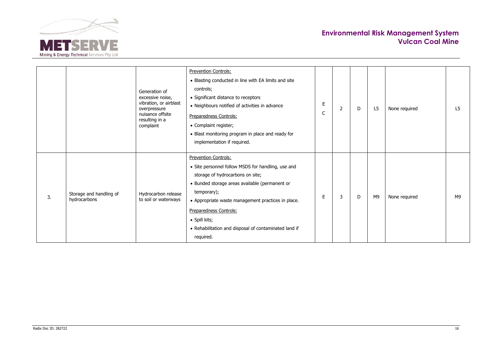

| <b>Prevention Controls:</b><br>• Blasting conducted in line with EA limits and site<br>controls;<br>Generation of<br>• Significant distance to receptors<br>excessive noise,<br>vibration, or airblast<br>E<br>• Neighbours notified of activities in advance<br>2<br>L <sub>5</sub><br>None required<br>L <sub>5</sub><br>overpressure<br>D<br>C<br>nuisance offsite<br>Preparedness Controls:<br>resulting in a<br>• Complaint register;<br>complaint<br>• Blast monitoring program in place and ready for<br>implementation if required.<br><b>Prevention Controls:</b><br>• Site personnel follow MSDS for handling, use and<br>storage of hydrocarbons on site;<br>· Bunded storage areas available (permanent or<br>temporary);<br>Hydrocarbon release<br>Storage and handling of<br>Е<br>None required<br>M9<br>3<br>D<br>M9<br>3.<br>hydrocarbons<br>to soil or waterways<br>• Appropriate waste management practices in place.<br>Preparedness Controls:<br>· Spill kits;<br>• Rehabilitation and disposal of contaminated land if<br>required. |  |  |  |  |  |  |  |  |  |
|----------------------------------------------------------------------------------------------------------------------------------------------------------------------------------------------------------------------------------------------------------------------------------------------------------------------------------------------------------------------------------------------------------------------------------------------------------------------------------------------------------------------------------------------------------------------------------------------------------------------------------------------------------------------------------------------------------------------------------------------------------------------------------------------------------------------------------------------------------------------------------------------------------------------------------------------------------------------------------------------------------------------------------------------------------|--|--|--|--|--|--|--|--|--|
|                                                                                                                                                                                                                                                                                                                                                                                                                                                                                                                                                                                                                                                                                                                                                                                                                                                                                                                                                                                                                                                          |  |  |  |  |  |  |  |  |  |
|                                                                                                                                                                                                                                                                                                                                                                                                                                                                                                                                                                                                                                                                                                                                                                                                                                                                                                                                                                                                                                                          |  |  |  |  |  |  |  |  |  |
|                                                                                                                                                                                                                                                                                                                                                                                                                                                                                                                                                                                                                                                                                                                                                                                                                                                                                                                                                                                                                                                          |  |  |  |  |  |  |  |  |  |
|                                                                                                                                                                                                                                                                                                                                                                                                                                                                                                                                                                                                                                                                                                                                                                                                                                                                                                                                                                                                                                                          |  |  |  |  |  |  |  |  |  |
|                                                                                                                                                                                                                                                                                                                                                                                                                                                                                                                                                                                                                                                                                                                                                                                                                                                                                                                                                                                                                                                          |  |  |  |  |  |  |  |  |  |
|                                                                                                                                                                                                                                                                                                                                                                                                                                                                                                                                                                                                                                                                                                                                                                                                                                                                                                                                                                                                                                                          |  |  |  |  |  |  |  |  |  |
|                                                                                                                                                                                                                                                                                                                                                                                                                                                                                                                                                                                                                                                                                                                                                                                                                                                                                                                                                                                                                                                          |  |  |  |  |  |  |  |  |  |
|                                                                                                                                                                                                                                                                                                                                                                                                                                                                                                                                                                                                                                                                                                                                                                                                                                                                                                                                                                                                                                                          |  |  |  |  |  |  |  |  |  |
|                                                                                                                                                                                                                                                                                                                                                                                                                                                                                                                                                                                                                                                                                                                                                                                                                                                                                                                                                                                                                                                          |  |  |  |  |  |  |  |  |  |
|                                                                                                                                                                                                                                                                                                                                                                                                                                                                                                                                                                                                                                                                                                                                                                                                                                                                                                                                                                                                                                                          |  |  |  |  |  |  |  |  |  |
|                                                                                                                                                                                                                                                                                                                                                                                                                                                                                                                                                                                                                                                                                                                                                                                                                                                                                                                                                                                                                                                          |  |  |  |  |  |  |  |  |  |
|                                                                                                                                                                                                                                                                                                                                                                                                                                                                                                                                                                                                                                                                                                                                                                                                                                                                                                                                                                                                                                                          |  |  |  |  |  |  |  |  |  |
|                                                                                                                                                                                                                                                                                                                                                                                                                                                                                                                                                                                                                                                                                                                                                                                                                                                                                                                                                                                                                                                          |  |  |  |  |  |  |  |  |  |
|                                                                                                                                                                                                                                                                                                                                                                                                                                                                                                                                                                                                                                                                                                                                                                                                                                                                                                                                                                                                                                                          |  |  |  |  |  |  |  |  |  |
|                                                                                                                                                                                                                                                                                                                                                                                                                                                                                                                                                                                                                                                                                                                                                                                                                                                                                                                                                                                                                                                          |  |  |  |  |  |  |  |  |  |
|                                                                                                                                                                                                                                                                                                                                                                                                                                                                                                                                                                                                                                                                                                                                                                                                                                                                                                                                                                                                                                                          |  |  |  |  |  |  |  |  |  |
|                                                                                                                                                                                                                                                                                                                                                                                                                                                                                                                                                                                                                                                                                                                                                                                                                                                                                                                                                                                                                                                          |  |  |  |  |  |  |  |  |  |
|                                                                                                                                                                                                                                                                                                                                                                                                                                                                                                                                                                                                                                                                                                                                                                                                                                                                                                                                                                                                                                                          |  |  |  |  |  |  |  |  |  |
|                                                                                                                                                                                                                                                                                                                                                                                                                                                                                                                                                                                                                                                                                                                                                                                                                                                                                                                                                                                                                                                          |  |  |  |  |  |  |  |  |  |
|                                                                                                                                                                                                                                                                                                                                                                                                                                                                                                                                                                                                                                                                                                                                                                                                                                                                                                                                                                                                                                                          |  |  |  |  |  |  |  |  |  |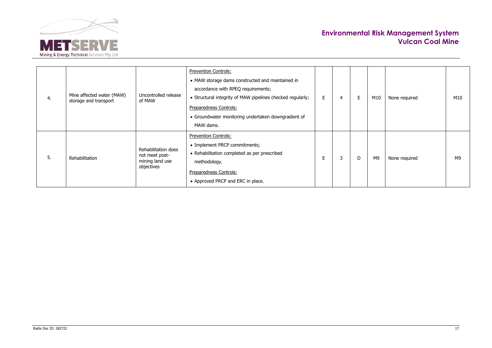

| 4. | Mine affected water (MAW)<br>storage and transport | Uncontrolled release<br>of MAW                                         | <b>Prevention Controls:</b><br>• MAW storage dams constructed and maintained in<br>accordance with RPEQ requirements;<br>• Structural integrity of MAW pipelines checked regularly;<br>Preparedness Controls:<br>• Groundwater monitoring undertaken downgradient of<br>MAW dams. | E | 4 | E. | M10            | None required | M10 |
|----|----------------------------------------------------|------------------------------------------------------------------------|-----------------------------------------------------------------------------------------------------------------------------------------------------------------------------------------------------------------------------------------------------------------------------------|---|---|----|----------------|---------------|-----|
| 5. | Rehabilitation                                     | Rehabilitation does<br>not meet post-<br>mining land use<br>objectives | <b>Prevention Controls:</b><br>• Implement PRCP commitments;<br>• Rehabilitation completed as per prescribed<br>methodology.<br>Preparedness Controls:<br>• Approved PRCP and ERC in place.                                                                                       | Е | 3 | D  | M <sub>9</sub> | None required | M9  |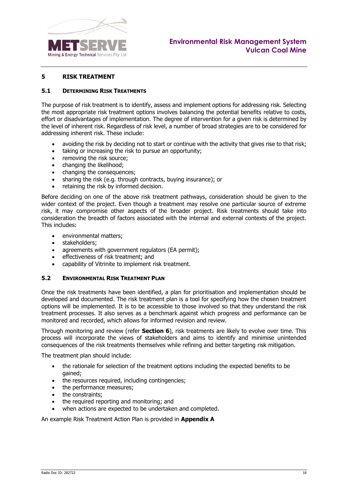

#### <span id="page-19-0"></span>**5 RISK TREATMENT**

#### <span id="page-19-1"></span>**5.1 DETERMINING RISK TREATMENTS**

The purpose of risk treatment is to identify, assess and implement options for addressing risk. Selecting the most appropriate risk treatment options involves balancing the potential benefits relative to costs, effort or disadvantages of implementation. The degree of intervention for a given risk is determined by the level of inherent risk. Regardless of risk level, a number of broad strategies are to be considered for addressing inherent risk. These include:

- avoiding the risk by deciding not to start or continue with the activity that gives rise to that risk;
- taking or increasing the risk to pursue an opportunity;
- removing the risk source;
- changing the likelihood;
- changing the consequences:
- sharing the risk (e.g. through contracts, buying insurance); or
- retaining the risk by informed decision.

Before deciding on one of the above risk treatment pathways, consideration should be given to the wider context of the project. Even though a treatment may resolve one particular source of extreme risk, it may compromise other aspects of the broader project. Risk treatments should take into consideration the breadth of factors associated with the internal and external contexts of the project. This includes:

- environmental matters;
- stakeholders;
- agreements with government regulators (EA permit);
- effectiveness of risk treatment; and
- capability of Vitrinite to implement risk treatment.

#### <span id="page-19-2"></span>**5.2 ENVIRONMENTAL RISK TREATMENT PLAN**

Once the risk treatments have been identified, a plan for prioritisation and implementation should be developed and documented. The risk treatment plan is a tool for specifying how the chosen treatment options will be implemented. It is to be accessible to those involved so that they understand the risk treatment processes. It also serves as a benchmark against which progress and performance can be monitored and recorded, which allows for informed revision and review.

Through monitoring and review (refer **Section [6](#page-20-0)**), risk treatments are likely to evolve over time. This process will incorporate the views of stakeholders and aims to identify and minimise unintended consequences of the risk treatments themselves while refining and better targeting risk mitigation.

The treatment plan should include:

- the rationale for selection of the treatment options including the expected benefits to be gained;
- the resources required, including contingencies;
- the performance measures;
- the constraints:
- the required reporting and monitoring; and
- when actions are expected to be undertaken and completed.

An example Risk Treatment Action Plan is provided in **Appendix A**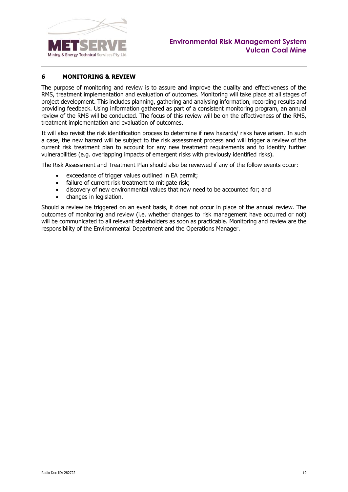

## <span id="page-20-0"></span>**6 MONITORING & REVIEW**

The purpose of monitoring and review is to assure and improve the quality and effectiveness of the RMS, treatment implementation and evaluation of outcomes. Monitoring will take place at all stages of project development. This includes planning, gathering and analysing information, recording results and providing feedback. Using information gathered as part of a consistent monitoring program, an annual review of the RMS will be conducted. The focus of this review will be on the effectiveness of the RMS, treatment implementation and evaluation of outcomes.

It will also revisit the risk identification process to determine if new hazards/ risks have arisen. In such a case, the new hazard will be subject to the risk assessment process and will trigger a review of the current risk treatment plan to account for any new treatment requirements and to identify further vulnerabilities (e.g. overlapping impacts of emergent risks with previously identified risks).

The Risk Assessment and Treatment Plan should also be reviewed if any of the follow events occur:

- exceedance of trigger values outlined in EA permit;
- failure of current risk treatment to mitigate risk;
- discovery of new environmental values that now need to be accounted for; and
- changes in legislation.

Should a review be triggered on an event basis, it does not occur in place of the annual review. The outcomes of monitoring and review (i.e. whether changes to risk management have occurred or not) will be communicated to all relevant stakeholders as soon as practicable. Monitoring and review are the responsibility of the Environmental Department and the Operations Manager.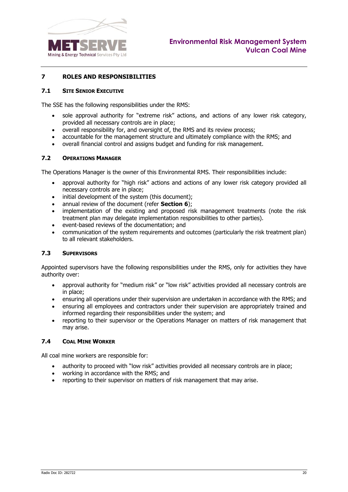<span id="page-21-2"></span>

#### <span id="page-21-0"></span>**7 ROLES AND RESPONSIBILITIES**

#### <span id="page-21-1"></span>**7.1 SITE SENIOR EXECUTIVE**

The SSE has the following responsibilities under the RMS:

- sole approval authority for "extreme risk" actions, and actions of any lower risk category, provided all necessary controls are in place;
- overall responsibility for, and oversight of, the RMS and its review process;
- accountable for the management structure and ultimately compliance with the RMS; and
- overall financial control and assigns budget and funding for risk management.

#### **7.2 OPERATIONS MANAGER**

The Operations Manager is the owner of this Environmental RMS. Their responsibilities include:

- approval authority for "high risk" actions and actions of any lower risk category provided all necessary controls are in place;
- initial development of the system (this document);
- annual review of the document (refer **Section [6](#page-20-0)**);
- implementation of the existing and proposed risk management treatments (note the risk treatment plan may delegate implementation responsibilities to other parties).
- event-based reviews of the documentation; and
- communication of the system requirements and outcomes (particularly the risk treatment plan) to all relevant stakeholders.

#### <span id="page-21-3"></span>**7.3 SUPERVISORS**

Appointed supervisors have the following responsibilities under the RMS, only for activities they have authority over:

- approval authority for "medium risk" or "low risk" activities provided all necessary controls are in place;
- ensuring all operations under their supervision are undertaken in accordance with the RMS; and
- ensuring all employees and contractors under their supervision are appropriately trained and informed regarding their responsibilities under the system; and
- reporting to their supervisor or the Operations Manager on matters of risk management that may arise.

#### <span id="page-21-4"></span>**7.4 COAL MINE WORKER**

All coal mine workers are responsible for:

- authority to proceed with "low risk" activities provided all necessary controls are in place;
- working in accordance with the RMS; and
- reporting to their supervisor on matters of risk management that may arise.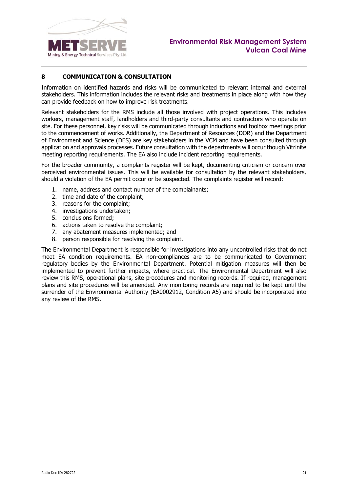

## <span id="page-22-0"></span>**8 COMMUNICATION & CONSULTATION**

Information on identified hazards and risks will be communicated to relevant internal and external stakeholders. This information includes the relevant risks and treatments in place along with how they can provide feedback on how to improve risk treatments.

Relevant stakeholders for the RMS include all those involved with project operations. This includes workers, management staff, landholders and third-party consultants and contractors who operate on site. For these personnel, key risks will be communicated through inductions and toolbox meetings prior to the commencement of works. Additionally, the Department of Resources (DOR) and the Department of Environment and Science (DES) are key stakeholders in the VCM and have been consulted through application and approvals processes. Future consultation with the departments will occur though Vitrinite meeting reporting requirements. The EA also include incident reporting requirements.

For the broader community, a complaints register will be kept, documenting criticism or concern over perceived environmental issues. This will be available for consultation by the relevant stakeholders, should a violation of the EA permit occur or be suspected. The complaints register will record:

- 1. name, address and contact number of the complainants;
- 2. time and date of the complaint;
- 3. reasons for the complaint;
- 4. investigations undertaken;
- 5. conclusions formed;
- 6. actions taken to resolve the complaint;
- 7. any abatement measures implemented; and
- 8. person responsible for resolving the complaint.

The Environmental Department is responsible for investigations into any uncontrolled risks that do not meet EA condition requirements. EA non-compliances are to be communicated to Government regulatory bodies by the Environmental Department. Potential mitigation measures will then be implemented to prevent further impacts, where practical. The Environmental Department will also review this RMS, operational plans, site procedures and monitoring records. If required, management plans and site procedures will be amended. Any monitoring records are required to be kept until the surrender of the Environmental Authority (EA0002912, Condition A5) and should be incorporated into any review of the RMS.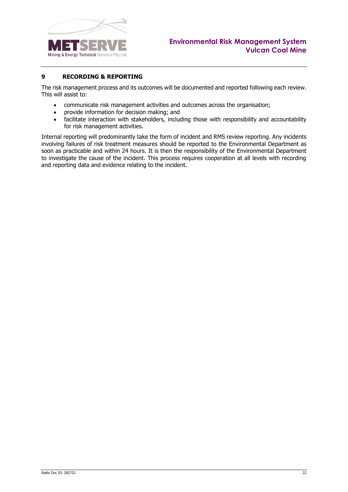

# <span id="page-23-0"></span>**9 RECORDING & REPORTING**

The risk management process and its outcomes will be documented and reported following each review. This will assist to:

- communicate risk management activities and outcomes across the organisation;
- provide information for decision making; and
- facilitate interaction with stakeholders, including those with responsibility and accountability for risk management activities.

Internal reporting will predominantly take the form of incident and RMS review reporting. Any incidents involving failures of risk treatment measures should be reported to the Environmental Department as soon as practicable and within 24 hours. It is then the responsibility of the Environmental Department to investigate the cause of the incident. This process requires cooperation at all levels with recording and reporting data and evidence relating to the incident.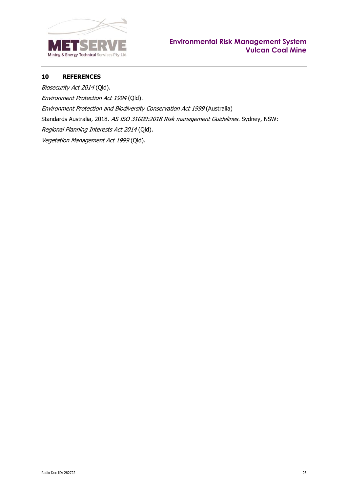

# <span id="page-24-0"></span>**10 REFERENCES**

Biosecurity Act 2014 (Qld). Environment Protection Act 1994 (Qld). Environment Protection and Biodiversity Conservation Act 1999 (Australia) Standards Australia, 2018. AS ISO 31000:2018 Risk management Guidelines. Sydney, NSW: Regional Planning Interests Act 2014 (Qld). Vegetation Management Act 1999 (Qld).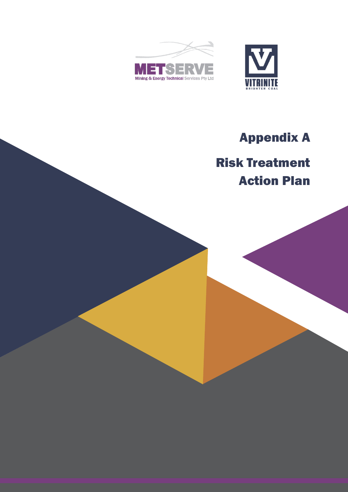



# Appendix A

# Risk Treatment Action Plan